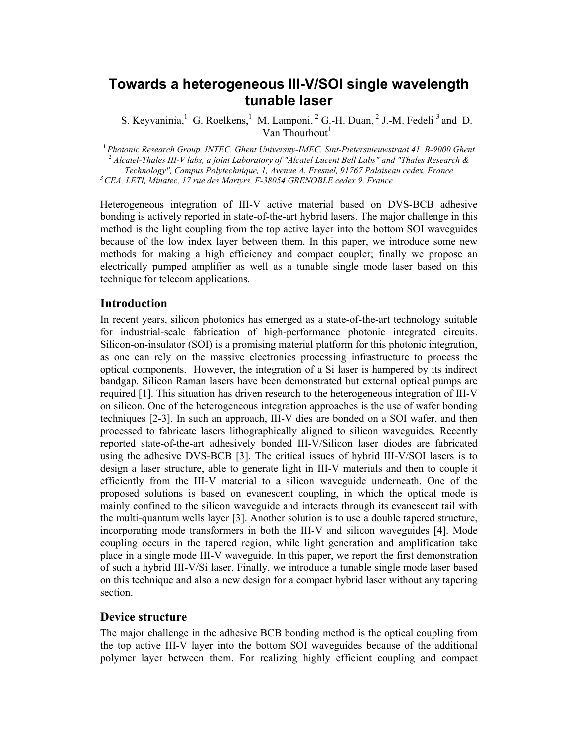# **Towards a heterogeneous III-V/SOI single wavelength tunable laser**

S. Keyvaninia, <sup>1</sup> G. Roelkens, <sup>1</sup> M. Lamponi, <sup>2</sup> G.-H. Duan, <sup>2</sup> J.-M. Fedeli<sup>3</sup> and D. Van Thourhout $<sup>1</sup>$ </sup>

<sup>1</sup>*Photonic Research Group, INTEC, Ghent University-IMEC, Sint-Pietersnieuwstraat 41, B-9000 Ghent* <sup>2</sup> *Alcatel-Thales III-V labs, a joint Laboratory of "Alcatel Lucent Bell Labs" and "Thales Research & Technology", Campus Polytechnique, 1, Avenue A. Fresnel, 91767 Palaiseau cedex, France 3 CEA, LETI, Minatec, 17 rue des Martyrs, F-38054 GRENOBLE cedex 9, France* 

Heterogeneous integration of III-V active material based on DVS-BCB adhesive bonding is actively reported in state-of-the-art hybrid lasers. The major challenge in this method is the light coupling from the top active layer into the bottom SOI waveguides because of the low index layer between them. In this paper, we introduce some new methods for making a high efficiency and compact coupler; finally we propose an electrically pumped amplifier as well as a tunable single mode laser based on this technique for telecom applications.

#### **Introduction**

In recent years, silicon photonics has emerged as a state-of-the-art technology suitable for industrial-scale fabrication of high-performance photonic integrated circuits. Silicon-on-insulator (SOI) is a promising material platform for this photonic integration, as one can rely on the massive electronics processing infrastructure to process the optical components. However, the integration of a Si laser is hampered by its indirect bandgap. Silicon Raman lasers have been demonstrated but external optical pumps are required [1]. This situation has driven research to the heterogeneous integration of III-V on silicon. One of the heterogeneous integration approaches is the use of wafer bonding techniques [2-3]. In such an approach, III-V dies are bonded on a SOI wafer, and then processed to fabricate lasers lithographically aligned to silicon waveguides. Recently reported state-of-the-art adhesively bonded III-V/Silicon laser diodes are fabricated using the adhesive DVS-BCB [3]. The critical issues of hybrid III-V/SOI lasers is to design a laser structure, able to generate light in III-V materials and then to couple it efficiently from the III-V material to a silicon waveguide underneath. One of the proposed solutions is based on evanescent coupling, in which the optical mode is mainly confined to the silicon waveguide and interacts through its evanescent tail with the multi-quantum wells layer [3]. Another solution is to use a double tapered structure, incorporating mode transformers in both the III-V and silicon waveguides [4]. Mode coupling occurs in the tapered region, while light generation and amplification take place in a single mode III-V waveguide. In this paper, we report the first demonstration of such a hybrid III-V/Si laser. Finally, we introduce a tunable single mode laser based on this technique and also a new design for a compact hybrid laser without any tapering section.

#### **Device structure**

The major challenge in the adhesive BCB bonding method is the optical coupling from the top active III-V layer into the bottom SOI waveguides because of the additional polymer layer between them. For realizing highly efficient coupling and compact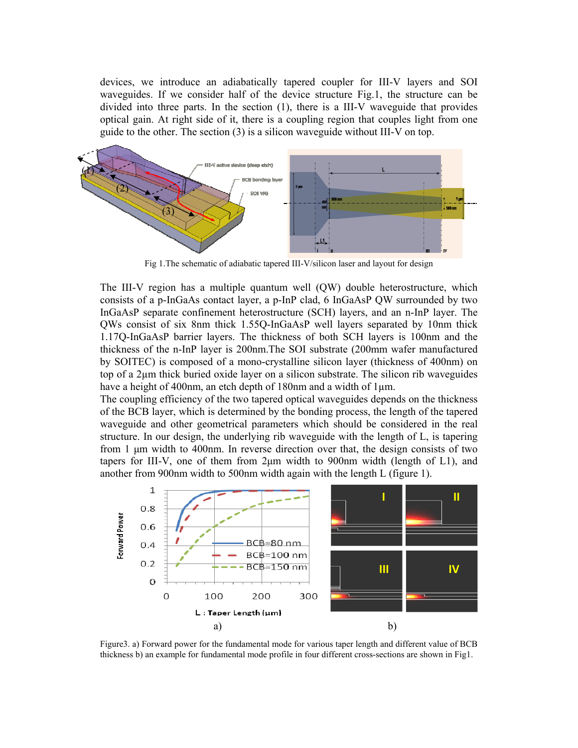devices, we introduce an adiabatically tapered coupler for III-V layers and SOI waveguides. If we consider half of the device structure Fig.1, the structure can be divided into three parts. In the section (1), there is a III-V waveguide that provides optical gain. At right side of it, there is a coupling region that couples light from one guide to the other. The section (3) is a silicon waveguide without III-V on top.



Fig 1.The schematic of adiabatic tapered III-V/silicon laser and layout for design

The III-V region has a multiple quantum well (QW) double heterostructure, which consists of a p-InGaAs contact layer, a p-InP clad, 6 InGaAsP QW surrounded by two InGaAsP separate confinement heterostructure (SCH) layers, and an n-InP layer. The QWs consist of six 8nm thick 1.55Q-InGaAsP well layers separated by 10nm thick 1.17Q-InGaAsP barrier layers. The thickness of both SCH layers is 100nm and the thickness of the n-InP layer is 200nm.The SOI substrate (200mm wafer manufactured by SOITEC) is composed of a mono-crystalline silicon layer (thickness of 400nm) on top of a 2µm thick buried oxide layer on a silicon substrate. The silicon rib waveguides have a height of 400nm, an etch depth of 180nm and a width of 1 $\mu$ m.

The coupling efficiency of the two tapered optical waveguides depends on the thickness of the BCB layer, which is determined by the bonding process, the length of the tapered waveguide and other geometrical parameters which should be considered in the real structure. In our design, the underlying rib waveguide with the length of L, is tapering from 1 µm width to 400nm. In reverse direction over that, the design consists of two tapers for III-V, one of them from  $2\mu$ m width to 900nm width (length of L1), and another from 900nm width to 500nm width again with the length L (figure 1).



Figure3. a) Forward power for the fundamental mode for various taper length and different value of BCB thickness b) an example for fundamental mode profile in four different cross-sections are shown in Fig1.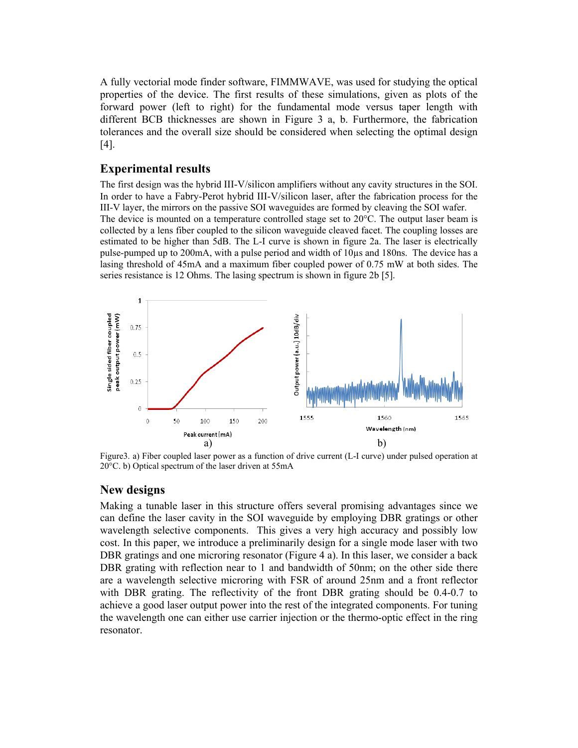A fully vectorial mode finder software, FIMMWAVE, was used for studying the optical properties of the device. The first results of these simulations, given as plots of the forward power (left to right) for the fundamental mode versus taper length with different BCB thicknesses are shown in Figure 3 a, b. Furthermore, the fabrication tolerances and the overall size should be considered when selecting the optimal design [4].

## **Experimental results**

The first design was the hybrid III-V/silicon amplifiers without any cavity structures in the SOI. In order to have a Fabry-Perot hybrid III-V/silicon laser, after the fabrication process for the III-V layer, the mirrors on the passive SOI waveguides are formed by cleaving the SOI wafer. The device is mounted on a temperature controlled stage set to 20°C. The output laser beam is collected by a lens fiber coupled to the silicon waveguide cleaved facet. The coupling losses are estimated to be higher than 5dB. The L-I curve is shown in figure 2a. The laser is electrically pulse-pumped up to 200mA, with a pulse period and width of 10µs and 180ns. The device has a lasing threshold of 45mA and a maximum fiber coupled power of 0.75 mW at both sides. The series resistance is 12 Ohms. The lasing spectrum is shown in figure 2b [5].



Figure3. a) Fiber coupled laser power as a function of drive current (L-I curve) under pulsed operation at 20°C. b) Optical spectrum of the laser driven at 55mA

#### **New designs**

Making a tunable laser in this structure offers several promising advantages since we can define the laser cavity in the SOI waveguide by employing DBR gratings or other wavelength selective components. This gives a very high accuracy and possibly low cost. In this paper, we introduce a preliminarily design for a single mode laser with two DBR gratings and one microring resonator (Figure 4 a). In this laser, we consider a back DBR grating with reflection near to 1 and bandwidth of 50nm; on the other side there are a wavelength selective microring with FSR of around 25nm and a front reflector with DBR grating. The reflectivity of the front DBR grating should be 0.4-0.7 to achieve a good laser output power into the rest of the integrated components. For tuning the wavelength one can either use carrier injection or the thermo-optic effect in the ring resonator.